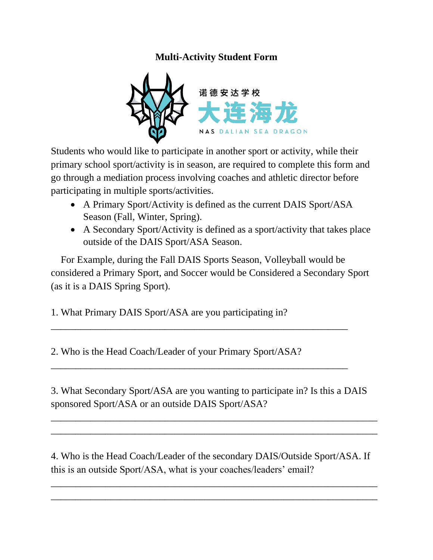## **Multi-Activity Student Form**



Students who would like to participate in another sport or activity, while their primary school sport/activity is in season, are required to complete this form and go through a mediation process involving coaches and athletic director before participating in multiple sports/activities.

- A Primary Sport/Activity is defined as the current DAIS Sport/ASA Season (Fall, Winter, Spring).
- A Secondary Sport/Activity is defined as a sport/activity that takes place outside of the DAIS Sport/ASA Season.

 For Example, during the Fall DAIS Sports Season, Volleyball would be considered a Primary Sport, and Soccer would be Considered a Secondary Sport (as it is a DAIS Spring Sport).

\_\_\_\_\_\_\_\_\_\_\_\_\_\_\_\_\_\_\_\_\_\_\_\_\_\_\_\_\_\_\_\_\_\_\_\_\_\_\_\_\_\_\_\_\_\_\_\_\_\_\_\_\_\_\_\_\_\_\_\_

\_\_\_\_\_\_\_\_\_\_\_\_\_\_\_\_\_\_\_\_\_\_\_\_\_\_\_\_\_\_\_\_\_\_\_\_\_\_\_\_\_\_\_\_\_\_\_\_\_\_\_\_\_\_\_\_\_\_\_\_

1. What Primary DAIS Sport/ASA are you participating in?

2. Who is the Head Coach/Leader of your Primary Sport/ASA?

3. What Secondary Sport/ASA are you wanting to participate in? Is this a DAIS sponsored Sport/ASA or an outside DAIS Sport/ASA?

 $\overline{a_1}$  ,  $\overline{a_2}$  ,  $\overline{a_3}$  ,  $\overline{a_4}$  ,  $\overline{a_5}$  ,  $\overline{a_6}$  ,  $\overline{a_7}$  ,  $\overline{a_8}$  ,  $\overline{a_9}$  ,  $\overline{a_9}$  ,  $\overline{a_9}$  ,  $\overline{a_9}$  ,  $\overline{a_9}$  ,  $\overline{a_9}$  ,  $\overline{a_9}$  ,  $\overline{a_9}$  ,  $\overline{a_9}$  , \_\_\_\_\_\_\_\_\_\_\_\_\_\_\_\_\_\_\_\_\_\_\_\_\_\_\_\_\_\_\_\_\_\_\_\_\_\_\_\_\_\_\_\_\_\_\_\_\_\_\_\_\_\_\_\_\_\_\_\_\_\_\_\_\_\_

4. Who is the Head Coach/Leader of the secondary DAIS/Outside Sport/ASA. If this is an outside Sport/ASA, what is your coaches/leaders' email?

 $\overline{a_1}$  ,  $\overline{a_2}$  ,  $\overline{a_3}$  ,  $\overline{a_4}$  ,  $\overline{a_5}$  ,  $\overline{a_6}$  ,  $\overline{a_7}$  ,  $\overline{a_8}$  ,  $\overline{a_9}$  ,  $\overline{a_9}$  ,  $\overline{a_9}$  ,  $\overline{a_9}$  ,  $\overline{a_9}$  ,  $\overline{a_9}$  ,  $\overline{a_9}$  ,  $\overline{a_9}$  ,  $\overline{a_9}$  ,  $\overline{a_1}$  ,  $\overline{a_2}$  ,  $\overline{a_3}$  ,  $\overline{a_4}$  ,  $\overline{a_5}$  ,  $\overline{a_6}$  ,  $\overline{a_7}$  ,  $\overline{a_8}$  ,  $\overline{a_9}$  ,  $\overline{a_9}$  ,  $\overline{a_9}$  ,  $\overline{a_9}$  ,  $\overline{a_9}$  ,  $\overline{a_9}$  ,  $\overline{a_9}$  ,  $\overline{a_9}$  ,  $\overline{a_9}$  ,